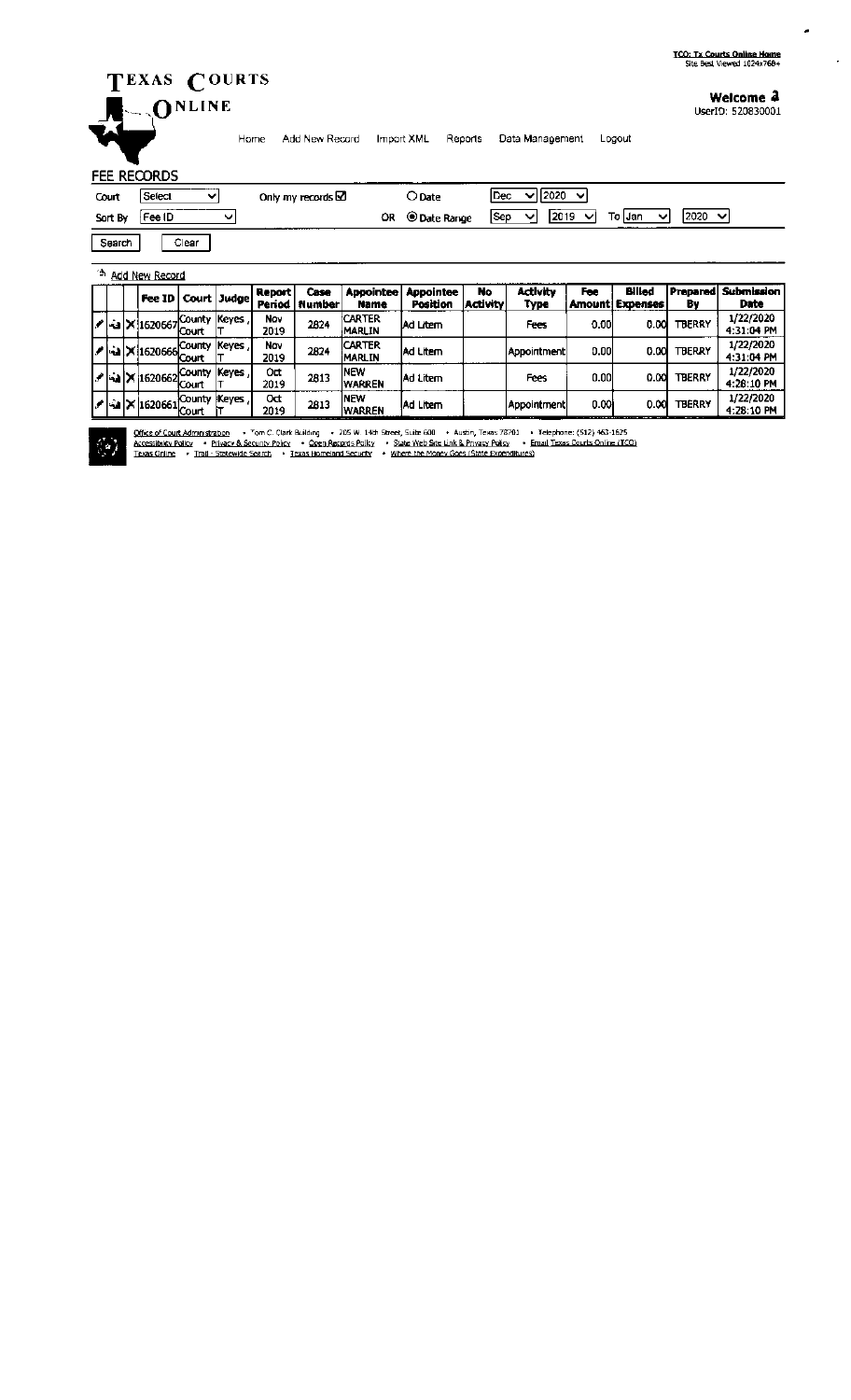## TEXAS COURTS ONLINE

 $Clear$ 

### Welcome 2

UserID: 520830001

 $\tilde{\phantom{a}}$ 

Home Add New Record Import XML Reports Data Management Logout

### FEE RECORDS

| .       |                                 |                     | ----              |                                                       |
|---------|---------------------------------|---------------------|-------------------|-------------------------------------------------------|
| Court   | Select<br>$\tilde{\phantom{a}}$ | Only my records bot | ∩ Date            | 2020<br><b>IDec</b>                                   |
| Sort By | ____________<br>'Fee ID         | OR<br>_________     | <b>Date Range</b> | To   Jan<br>2020<br>12019<br>lSeo<br>◡<br>◡<br>ັ<br>w |

### <sup>25</sup> Add New Record

Search

|  | Fee ID   Court   Judge                  |                          | Report      | Case<br><b>Period   Number</b> | <b>Name</b>                      | <b>Appointee   Appointee</b><br>Position | No<br><b>Activity</b> | <b>Activity</b><br>Туре | Fee  | Billed<br>Amount! Expenses | By            | Prepared Submission<br>Date |
|--|-----------------------------------------|--------------------------|-------------|--------------------------------|----------------------------------|------------------------------------------|-----------------------|-------------------------|------|----------------------------|---------------|-----------------------------|
|  | ∵   سامت 1620667 X   هغا ص              | <b>County Keyes</b>      | Nov<br>2019 | 2824                           | <b>CARTER</b><br><b>MARLIN</b>   | lAd Litem                                |                       | Fees                    | 0.00 | 0.00                       | <b>TBERRY</b> | 1/22/2020<br>4:31:04 PM     |
|  | $\mathscr{P}$ is $\times$ 1620666 court | <b>County Keves</b>      | Nov<br>2019 | 2824                           | <b>ICARTER</b><br><b>IMARLIN</b> | <b>Ad Litem</b>                          |                       | l Appointment           | 0.00 | 0.00                       | <b>TBERRY</b> | 1/22/2020<br>4:31:04 PM     |
|  | /   -à   X  1620662 }                   | County  Keves  <br>Kourt | 0đ<br>2019  | 2813                           | <b>INEW</b><br><b>WARREN</b>     | lAd Litem                                |                       | <b>Fees</b>             | 0.00 | 0.00                       | <b>TBERRY</b> | 1/22/2020<br>4:28:10 PM     |
|  | ∥   •`a   X  1620661                    | County Keves<br>Court    | 0đ<br>2019  | 2813                           | <b>INEW</b><br><b>WARREN</b>     | <b>IAd Litem</b>                         |                       | Appointment             | 0.00 | 0.00                       | TBERRY        | 1/22/2020<br>4:28:10 PM     |

Qffice of Court Administration • Tom C. Clark Building • 205 W. 14th Street, Suite 600 • Austin, Texas 78701 • Telephone: (512) 463-1625<br>Accessibility Policy • Privacy & Security Policy • Qoen Records Policy • State Web Si  $\left\langle \cdot \right\rangle$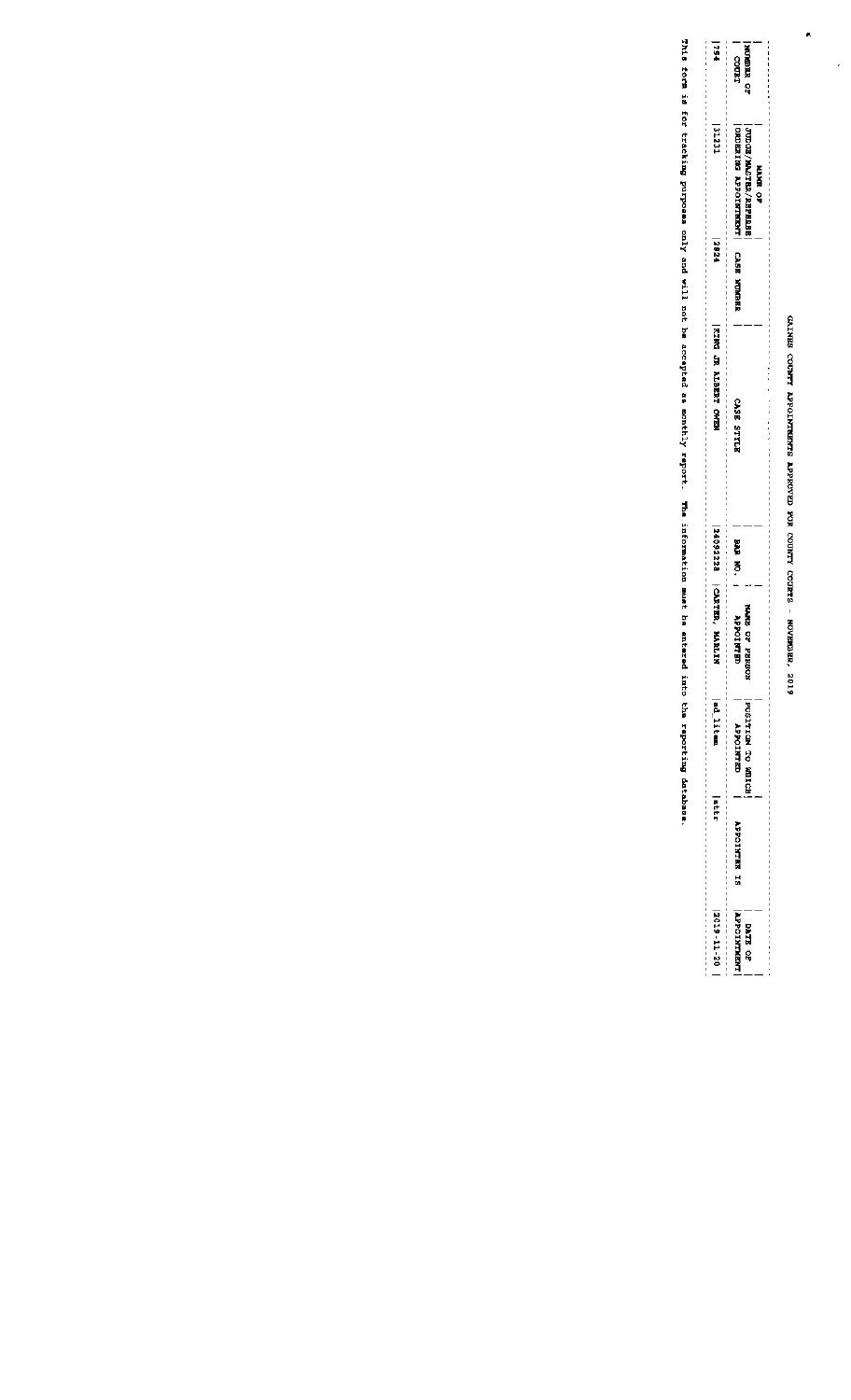# GAINES COUNTY APPOINTMENTS APPROVED FOR COUNTY COURTS - NOVEMBER, 2019

 $\ddot{\phantom{1}}$ 

 $\frac{1}{2}$ 

| $+51$                                                                                                                                                                    | <b>NO BEE OF</b><br>3<br>Baba                                                                                      |
|--------------------------------------------------------------------------------------------------------------------------------------------------------------------------|--------------------------------------------------------------------------------------------------------------------|
| 131231                                                                                                                                                                   |                                                                                                                    |
|                                                                                                                                                                          | ORDERING APPOINTMENT CASE NUMBER<br><b>JUDGE/MASTER/REFRABE</b><br>医菌鸟                                             |
| 2824                                                                                                                                                                     |                                                                                                                    |
| ,我们我们的事情,我要要要要要要要要要要要要要要要要要要要要要求的。我的人,我们也不会不会,我们的人,我们的人,我们的人都会不会不会不会不会不会不会不会不会,我们的人都会不会不会,我们也不会不会不会, 医皮肤病 医阿尔比尔氏征 医阿尔比尔氏征 医阿尔比尔氏征 医阿尔比尔氏征 医阿尔比尔氏征<br>KING JR ALBERT OWEN | ,我们我们我们的时间,我们可以会不得有的,我的过去分词,我们可以会不得不可以。 人名英格兰人姓氏英格兰人姓氏的变体 医阿尔伯氏氏征 医阿尔伯氏征 医阿尔伯氏征 医阿尔伯氏征 医阿尔伯氏征 医阿尔伯氏征<br>SIDE STILE |
|                                                                                                                                                                          | <b>BASE</b>                                                                                                        |
| 1240922228 CAXTER, MARIIN                                                                                                                                                | <b>MOSSES 40 SENTH</b><br><b>CROTHER</b>                                                                           |
| Lad litem                                                                                                                                                                | EQSITYION OF RESIDE<br><b>CEATOLON</b>                                                                             |
| H                                                                                                                                                                        | <b>APPOINTER IS</b>                                                                                                |
| $ 2019 - 11 - 20$                                                                                                                                                        | <b>NEW LATIO deTY</b><br><b>DATE CP</b>                                                                            |

This form is for tracking purposes only and will not be accepted as monthly report. The information must be entered into the reporting database.